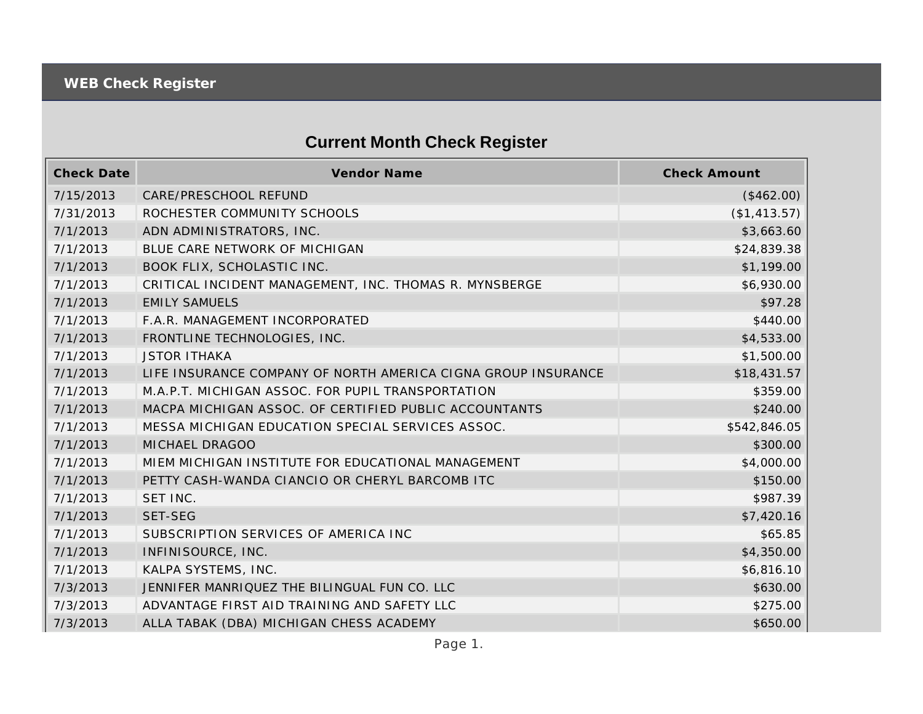## **Current Month Check Register**

| <b>Check Date</b> | Vendor Name                                                   | <b>Check Amount</b> |
|-------------------|---------------------------------------------------------------|---------------------|
| 7/15/2013         | CARE/PRESCHOOL REFUND                                         | (\$462.00)          |
| 7/31/2013         | ROCHESTER COMMUNITY SCHOOLS                                   | (\$1,413.57)        |
| 7/1/2013          | ADN ADMINISTRATORS, INC.                                      | \$3,663.60          |
| 7/1/2013          | BLUE CARE NETWORK OF MICHIGAN                                 | \$24,839.38         |
| 7/1/2013          | BOOK FLIX, SCHOLASTIC INC.                                    | \$1,199.00          |
| 7/1/2013          | CRITICAL INCIDENT MANAGEMENT, INC. THOMAS R. MYNSBERGE        | \$6,930.00          |
| 7/1/2013          | <b>EMILY SAMUELS</b>                                          | \$97.28             |
| 7/1/2013          | F.A.R. MANAGEMENT INCORPORATED                                | \$440.00            |
| 7/1/2013          | FRONTLINE TECHNOLOGIES, INC.                                  | \$4,533.00          |
| 7/1/2013          | <b>JSTOR ITHAKA</b>                                           | \$1,500.00          |
| 7/1/2013          | LIFE INSURANCE COMPANY OF NORTH AMERICA CIGNA GROUP INSURANCE | \$18,431.57         |
| 7/1/2013          | M.A.P.T. MICHIGAN ASSOC. FOR PUPIL TRANSPORTATION             | \$359.00            |
| 7/1/2013          | MACPA MICHIGAN ASSOC. OF CERTIFIED PUBLIC ACCOUNTANTS         | \$240.00            |
| 7/1/2013          | MESSA MICHIGAN EDUCATION SPECIAL SERVICES ASSOC.              | \$542,846.05        |
| 7/1/2013          | MICHAEL DRAGOO                                                | \$300.00            |
| 7/1/2013          | MIEM MICHIGAN INSTITUTE FOR EDUCATIONAL MANAGEMENT            | \$4,000.00          |
| 7/1/2013          | PETTY CASH-WANDA CIANCIO OR CHERYL BARCOMB ITC                | \$150.00            |
| 7/1/2013          | SET INC.                                                      | \$987.39            |
| 7/1/2013          | <b>SET-SEG</b>                                                | \$7,420.16          |
| 7/1/2013          | SUBSCRIPTION SERVICES OF AMERICA INC                          | \$65.85             |
| 7/1/2013          | INFINISOURCE, INC.                                            | \$4,350.00          |
| 7/1/2013          | KALPA SYSTEMS, INC.                                           | \$6,816.10          |
| 7/3/2013          | JENNIFER MANRIQUEZ THE BILINGUAL FUN CO. LLC                  | \$630.00            |
| 7/3/2013          | ADVANTAGE FIRST AID TRAINING AND SAFETY LLC                   | \$275.00            |
| 7/3/2013          | ALLA TABAK (DBA) MICHIGAN CHESS ACADEMY                       | \$650.00            |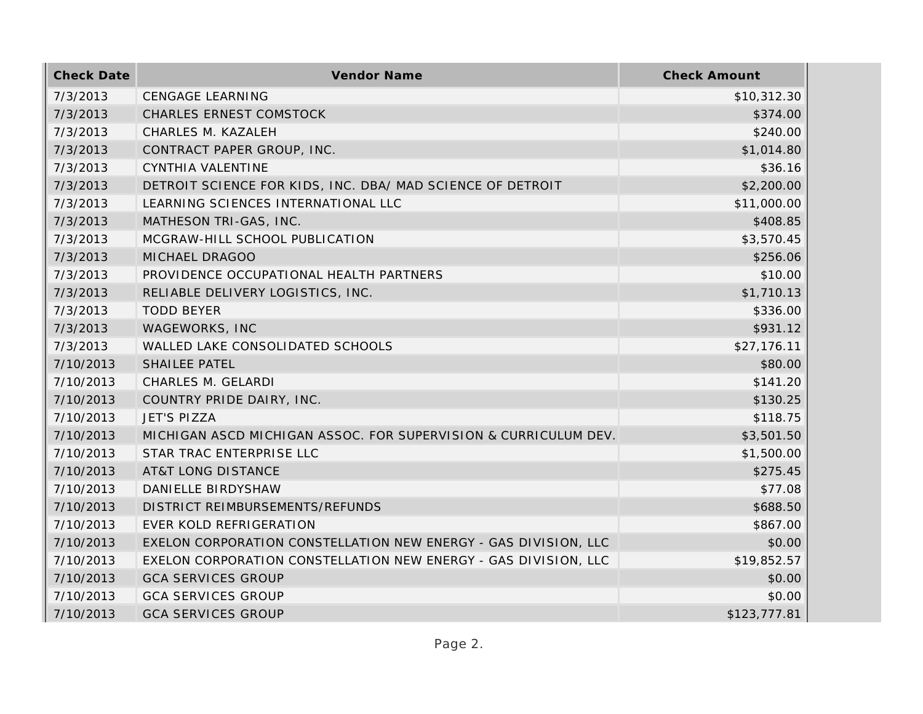| <b>Check Date</b> | Vendor Name                                                     | <b>Check Amount</b> |
|-------------------|-----------------------------------------------------------------|---------------------|
| 7/3/2013          | <b>CENGAGE LEARNING</b>                                         | \$10,312.30         |
| 7/3/2013          | <b>CHARLES ERNEST COMSTOCK</b>                                  | \$374.00            |
| 7/3/2013          | CHARLES M. KAZALEH                                              | \$240.00            |
| 7/3/2013          | CONTRACT PAPER GROUP, INC.                                      | \$1,014.80          |
| 7/3/2013          | CYNTHIA VALENTINE                                               | \$36.16             |
| 7/3/2013          | DETROIT SCIENCE FOR KIDS, INC. DBA/ MAD SCIENCE OF DETROIT      | \$2,200.00          |
| 7/3/2013          | LEARNING SCIENCES INTERNATIONAL LLC                             | \$11,000.00         |
| 7/3/2013          | MATHESON TRI-GAS, INC.                                          | \$408.85            |
| 7/3/2013          | MCGRAW-HILL SCHOOL PUBLICATION                                  | \$3,570.45          |
| 7/3/2013          | MICHAEL DRAGOO                                                  | \$256.06            |
| 7/3/2013          | PROVIDENCE OCCUPATIONAL HEALTH PARTNERS                         | \$10.00             |
| 7/3/2013          | RELIABLE DELIVERY LOGISTICS, INC.                               | \$1,710.13          |
| 7/3/2013          | <b>TODD BEYER</b>                                               | \$336.00            |
| 7/3/2013          | WAGEWORKS, INC                                                  | \$931.12            |
| 7/3/2013          | WALLED LAKE CONSOLIDATED SCHOOLS                                | \$27,176.11         |
| 7/10/2013         | SHAILEE PATEL                                                   | \$80.00             |
| 7/10/2013         | CHARLES M. GELARDI                                              | \$141.20            |
| 7/10/2013         | COUNTRY PRIDE DAIRY, INC.                                       | \$130.25            |
| 7/10/2013         | JET'S PIZZA                                                     | \$118.75            |
| 7/10/2013         | MICHIGAN ASCD MICHIGAN ASSOC. FOR SUPERVISION & CURRICULUM DEV. | \$3,501.50          |
| 7/10/2013         | STAR TRAC ENTERPRISE LLC                                        | \$1,500.00          |
| 7/10/2013         | <b>AT&amp;T LONG DISTANCE</b>                                   | \$275.45            |
| 7/10/2013         | DANIELLE BIRDYSHAW                                              | \$77.08             |
| 7/10/2013         | DISTRICT REIMBURSEMENTS/REFUNDS                                 | \$688.50            |
| 7/10/2013         | EVER KOLD REFRIGERATION                                         | \$867.00            |
| 7/10/2013         | EXELON CORPORATION CONSTELLATION NEW ENERGY - GAS DIVISION, LLC | \$0.00              |
| 7/10/2013         | EXELON CORPORATION CONSTELLATION NEW ENERGY - GAS DIVISION, LLC | \$19,852.57         |
| 7/10/2013         | <b>GCA SERVICES GROUP</b>                                       | \$0.00              |
| 7/10/2013         | <b>GCA SERVICES GROUP</b>                                       | \$0.00              |
| 7/10/2013         | <b>GCA SERVICES GROUP</b>                                       | \$123,777.81        |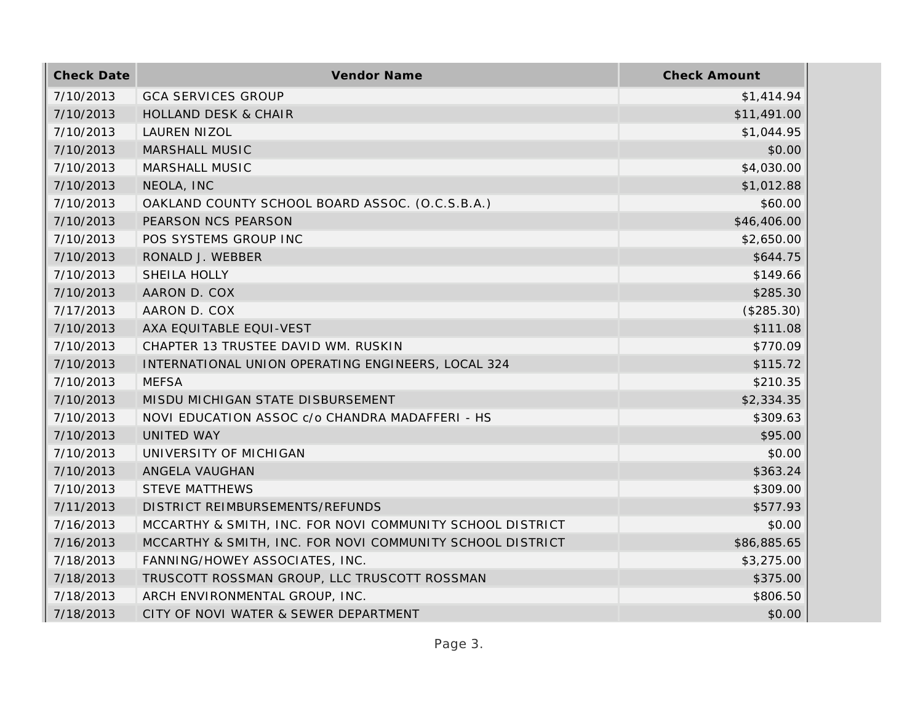| <b>Check Date</b> | Vendor Name                                               | <b>Check Amount</b> |
|-------------------|-----------------------------------------------------------|---------------------|
| 7/10/2013         | <b>GCA SERVICES GROUP</b>                                 | \$1,414.94          |
| 7/10/2013         | <b>HOLLAND DESK &amp; CHAIR</b>                           | \$11,491.00         |
| 7/10/2013         | <b>LAUREN NIZOL</b>                                       | \$1,044.95          |
| 7/10/2013         | MARSHALL MUSIC                                            | \$0.00              |
| 7/10/2013         | MARSHALL MUSIC                                            | \$4,030.00          |
| 7/10/2013         | NEOLA, INC                                                | \$1,012.88          |
| 7/10/2013         | OAKLAND COUNTY SCHOOL BOARD ASSOC. (O.C.S.B.A.)           | \$60.00             |
| 7/10/2013         | PEARSON NCS PEARSON                                       | \$46,406.00         |
| 7/10/2013         | POS SYSTEMS GROUP INC                                     | \$2,650.00          |
| 7/10/2013         | RONALD J. WEBBER                                          | \$644.75            |
| 7/10/2013         | SHEILA HOLLY                                              | \$149.66            |
| 7/10/2013         | AARON D. COX                                              | \$285.30            |
| 7/17/2013         | AARON D. COX                                              | (\$285.30)          |
| 7/10/2013         | AXA EQUITABLE EQUI-VEST                                   | \$111.08            |
| 7/10/2013         | CHAPTER 13 TRUSTEE DAVID WM. RUSKIN                       | \$770.09            |
| 7/10/2013         | INTERNATIONAL UNION OPERATING ENGINEERS, LOCAL 324        | \$115.72            |
| 7/10/2013         | <b>MEFSA</b>                                              | \$210.35            |
| 7/10/2013         | MISDU MICHIGAN STATE DISBURSEMENT                         | \$2,334.35          |
| 7/10/2013         | NOVI EDUCATION ASSOC c/o CHANDRA MADAFFERI - HS           | \$309.63            |
| 7/10/2013         | UNITED WAY                                                | \$95.00             |
| 7/10/2013         | UNIVERSITY OF MICHIGAN                                    | \$0.00              |
| 7/10/2013         | ANGELA VAUGHAN                                            | \$363.24            |
| 7/10/2013         | <b>STEVE MATTHEWS</b>                                     | \$309.00            |
| 7/11/2013         | DISTRICT REIMBURSEMENTS/REFUNDS                           | \$577.93            |
| 7/16/2013         | MCCARTHY & SMITH, INC. FOR NOVI COMMUNITY SCHOOL DISTRICT | \$0.00              |
| 7/16/2013         | MCCARTHY & SMITH, INC. FOR NOVI COMMUNITY SCHOOL DISTRICT | \$86,885.65         |
| 7/18/2013         | FANNING/HOWEY ASSOCIATES, INC.                            | \$3,275.00          |
| 7/18/2013         | TRUSCOTT ROSSMAN GROUP, LLC TRUSCOTT ROSSMAN              | \$375.00            |
| 7/18/2013         | ARCH ENVIRONMENTAL GROUP, INC.                            | \$806.50            |
| 7/18/2013         | CITY OF NOVI WATER & SEWER DEPARTMENT                     | \$0.00              |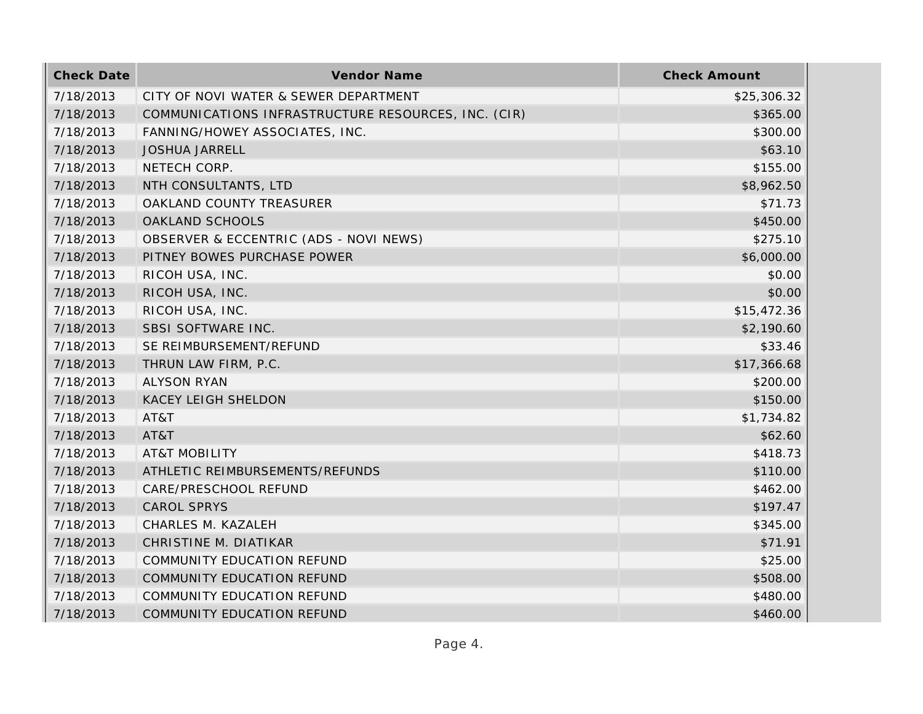| <b>Check Date</b> | Vendor Name                                         | <b>Check Amount</b> |
|-------------------|-----------------------------------------------------|---------------------|
| 7/18/2013         | CITY OF NOVI WATER & SEWER DEPARTMENT               | \$25,306.32         |
| 7/18/2013         | COMMUNICATIONS INFRASTRUCTURE RESOURCES, INC. (CIR) | \$365.00            |
| 7/18/2013         | FANNING/HOWEY ASSOCIATES, INC.                      | \$300.00            |
| 7/18/2013         | <b>JOSHUA JARRELL</b>                               | \$63.10             |
| 7/18/2013         | NETECH CORP.                                        | \$155.00            |
| 7/18/2013         | NTH CONSULTANTS, LTD                                | \$8,962.50          |
| 7/18/2013         | OAKLAND COUNTY TREASURER                            | \$71.73             |
| 7/18/2013         | OAKLAND SCHOOLS                                     | \$450.00            |
| 7/18/2013         | OBSERVER & ECCENTRIC (ADS - NOVI NEWS)              | \$275.10            |
| 7/18/2013         | PITNEY BOWES PURCHASE POWER                         | \$6,000.00          |
| 7/18/2013         | RICOH USA, INC.                                     | \$0.00              |
| 7/18/2013         | RICOH USA, INC.                                     | \$0.00              |
| 7/18/2013         | RICOH USA, INC.                                     | \$15,472.36         |
| 7/18/2013         | SBSI SOFTWARE INC.                                  | \$2,190.60          |
| 7/18/2013         | SE REIMBURSEMENT/REFUND                             | \$33.46             |
| 7/18/2013         | THRUN LAW FIRM, P.C.                                | \$17,366.68         |
| 7/18/2013         | <b>ALYSON RYAN</b>                                  | \$200.00            |
| 7/18/2013         | <b>KACEY LEIGH SHELDON</b>                          | \$150.00            |
| 7/18/2013         | AT&T                                                | \$1,734.82          |
| 7/18/2013         | AT&T                                                | \$62.60             |
| 7/18/2013         | <b>AT&amp;T MOBILITY</b>                            | \$418.73            |
| 7/18/2013         | ATHLETIC REIMBURSEMENTS/REFUNDS                     | \$110.00            |
| 7/18/2013         | CARE/PRESCHOOL REFUND                               | \$462.00            |
| 7/18/2013         | CAROL SPRYS                                         | \$197.47            |
| 7/18/2013         | CHARLES M. KAZALEH                                  | \$345.00            |
| 7/18/2013         | CHRISTINE M. DIATIKAR                               | \$71.91             |
| 7/18/2013         | COMMUNITY EDUCATION REFUND                          | \$25.00             |
| 7/18/2013         | COMMUNITY EDUCATION REFUND                          | \$508.00            |
| 7/18/2013         | COMMUNITY EDUCATION REFUND                          | \$480.00            |
| 7/18/2013         | COMMUNITY EDUCATION REFUND                          | \$460.00            |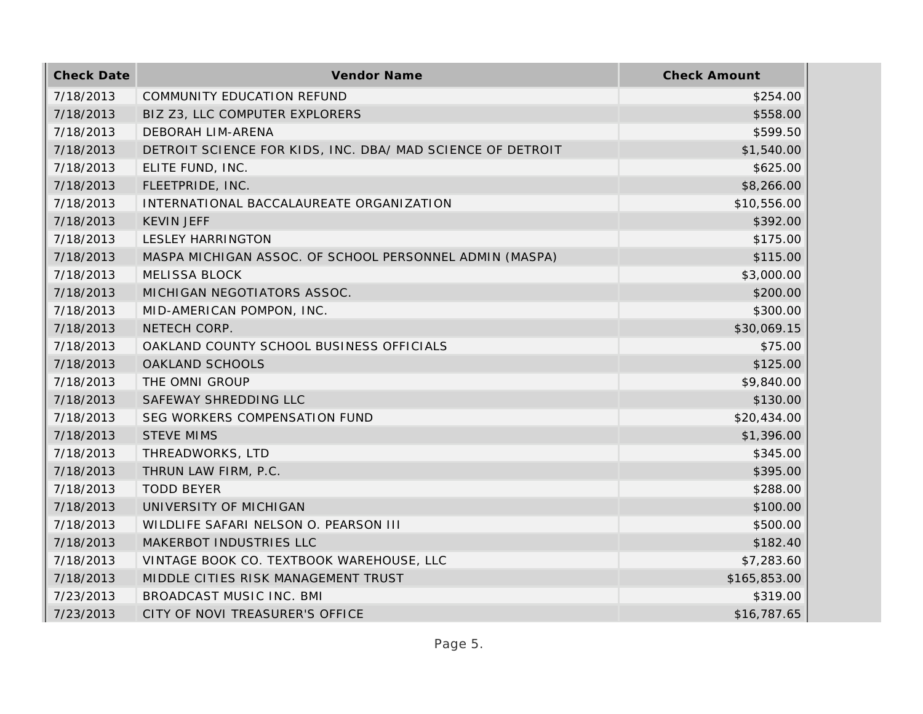| <b>Check Date</b> | <b>Vendor Name</b>                                         | <b>Check Amount</b> |
|-------------------|------------------------------------------------------------|---------------------|
| 7/18/2013         | <b>COMMUNITY EDUCATION REFUND</b>                          | \$254.00            |
| 7/18/2013         | BIZ Z3, LLC COMPUTER EXPLORERS                             | \$558.00            |
| 7/18/2013         | DEBORAH LIM-ARENA                                          | \$599.50            |
| 7/18/2013         | DETROIT SCIENCE FOR KIDS, INC. DBA/ MAD SCIENCE OF DETROIT | \$1,540.00          |
| 7/18/2013         | ELITE FUND, INC.                                           | \$625.00            |
| 7/18/2013         | FLEETPRIDE, INC.                                           | \$8,266.00          |
| 7/18/2013         | INTERNATIONAL BACCALAUREATE ORGANIZATION                   | \$10,556.00         |
| 7/18/2013         | <b>KEVIN JEFF</b>                                          | \$392.00            |
| 7/18/2013         | <b>LESLEY HARRINGTON</b>                                   | \$175.00            |
| 7/18/2013         | MASPA MICHIGAN ASSOC. OF SCHOOL PERSONNEL ADMIN (MASPA)    | \$115.00            |
| 7/18/2013         | <b>MELISSA BLOCK</b>                                       | \$3,000.00          |
| 7/18/2013         | MICHIGAN NEGOTIATORS ASSOC.                                | \$200.00            |
| 7/18/2013         | MID-AMERICAN POMPON, INC.                                  | \$300.00            |
| 7/18/2013         | NETECH CORP.                                               | \$30,069.15         |
| 7/18/2013         | OAKLAND COUNTY SCHOOL BUSINESS OFFICIALS                   | \$75.00             |
| 7/18/2013         | OAKLAND SCHOOLS                                            | \$125.00            |
| 7/18/2013         | THE OMNI GROUP                                             | \$9,840.00          |
| 7/18/2013         | SAFEWAY SHREDDING LLC                                      | \$130.00            |
| 7/18/2013         | SEG WORKERS COMPENSATION FUND                              | \$20,434.00         |
| 7/18/2013         | <b>STEVE MIMS</b>                                          | \$1,396.00          |
| 7/18/2013         | THREADWORKS, LTD                                           | \$345.00            |
| 7/18/2013         | THRUN LAW FIRM, P.C.                                       | \$395.00            |
| 7/18/2013         | <b>TODD BEYER</b>                                          | \$288.00            |
| 7/18/2013         | UNIVERSITY OF MICHIGAN                                     | \$100.00            |
| 7/18/2013         | WILDLIFE SAFARI NELSON O. PEARSON III                      | \$500.00            |
| 7/18/2013         | MAKERBOT INDUSTRIES LLC                                    | \$182.40            |
| 7/18/2013         | VINTAGE BOOK CO. TEXTBOOK WAREHOUSE, LLC                   | \$7,283.60          |
| 7/18/2013         | MIDDLE CITIES RISK MANAGEMENT TRUST                        | \$165,853.00        |
| 7/23/2013         | BROADCAST MUSIC INC. BMI                                   | \$319.00            |
| 7/23/2013         | CITY OF NOVI TREASURER'S OFFICE                            | \$16,787.65         |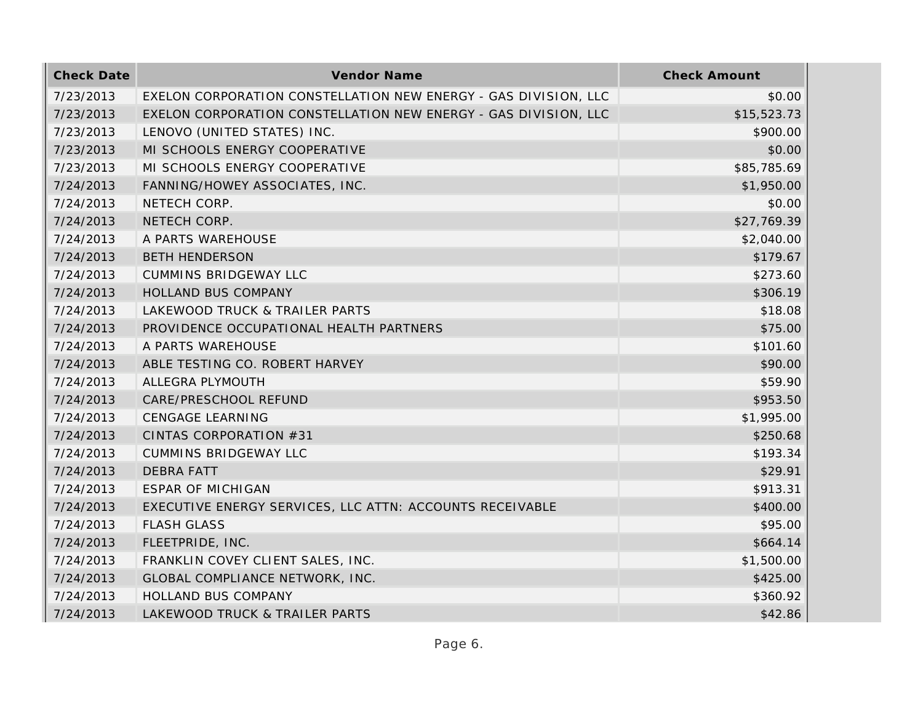| <b>Check Date</b> | Vendor Name                                                     | <b>Check Amount</b> |
|-------------------|-----------------------------------------------------------------|---------------------|
| 7/23/2013         | EXELON CORPORATION CONSTELLATION NEW ENERGY - GAS DIVISION, LLC | \$0.00              |
| 7/23/2013         | EXELON CORPORATION CONSTELLATION NEW ENERGY - GAS DIVISION, LLC | \$15,523.73         |
| 7/23/2013         | LENOVO (UNITED STATES) INC.                                     | \$900.00            |
| 7/23/2013         | MI SCHOOLS ENERGY COOPERATIVE                                   | \$0.00              |
| 7/23/2013         | MI SCHOOLS ENERGY COOPERATIVE                                   | \$85,785.69         |
| 7/24/2013         | FANNING/HOWEY ASSOCIATES, INC.                                  | \$1,950.00          |
| 7/24/2013         | NETECH CORP.                                                    | \$0.00              |
| 7/24/2013         | NETECH CORP.                                                    | \$27,769.39         |
| 7/24/2013         | A PARTS WAREHOUSE                                               | \$2,040.00          |
| 7/24/2013         | <b>BETH HENDERSON</b>                                           | \$179.67            |
| 7/24/2013         | <b>CUMMINS BRIDGEWAY LLC</b>                                    | \$273.60            |
| 7/24/2013         | HOLLAND BUS COMPANY                                             | \$306.19            |
| 7/24/2013         | LAKEWOOD TRUCK & TRAILER PARTS                                  | \$18.08             |
| 7/24/2013         | PROVIDENCE OCCUPATIONAL HEALTH PARTNERS                         | \$75.00             |
| 7/24/2013         | A PARTS WAREHOUSE                                               | \$101.60            |
| 7/24/2013         | ABLE TESTING CO. ROBERT HARVEY                                  | \$90.00             |
| 7/24/2013         | ALLEGRA PLYMOUTH                                                | \$59.90             |
| 7/24/2013         | CARE/PRESCHOOL REFUND                                           | \$953.50            |
| 7/24/2013         | <b>CENGAGE LEARNING</b>                                         | \$1,995.00          |
| 7/24/2013         | CINTAS CORPORATION #31                                          | \$250.68            |
| 7/24/2013         | CUMMINS BRIDGEWAY LLC                                           | \$193.34            |
| 7/24/2013         | <b>DEBRA FATT</b>                                               | \$29.91             |
| 7/24/2013         | <b>ESPAR OF MICHIGAN</b>                                        | \$913.31            |
| 7/24/2013         | EXECUTIVE ENERGY SERVICES, LLC ATTN: ACCOUNTS RECEIVABLE        | \$400.00            |
| 7/24/2013         | <b>FLASH GLASS</b>                                              | \$95.00             |
| 7/24/2013         | FLEETPRIDE, INC.                                                | \$664.14            |
| 7/24/2013         | FRANKLIN COVEY CLIENT SALES, INC.                               | \$1,500.00          |
| 7/24/2013         | GLOBAL COMPLIANCE NETWORK, INC.                                 | \$425.00            |
| 7/24/2013         | HOLLAND BUS COMPANY                                             | \$360.92            |
| 7/24/2013         | LAKEWOOD TRUCK & TRAILER PARTS                                  | \$42.86             |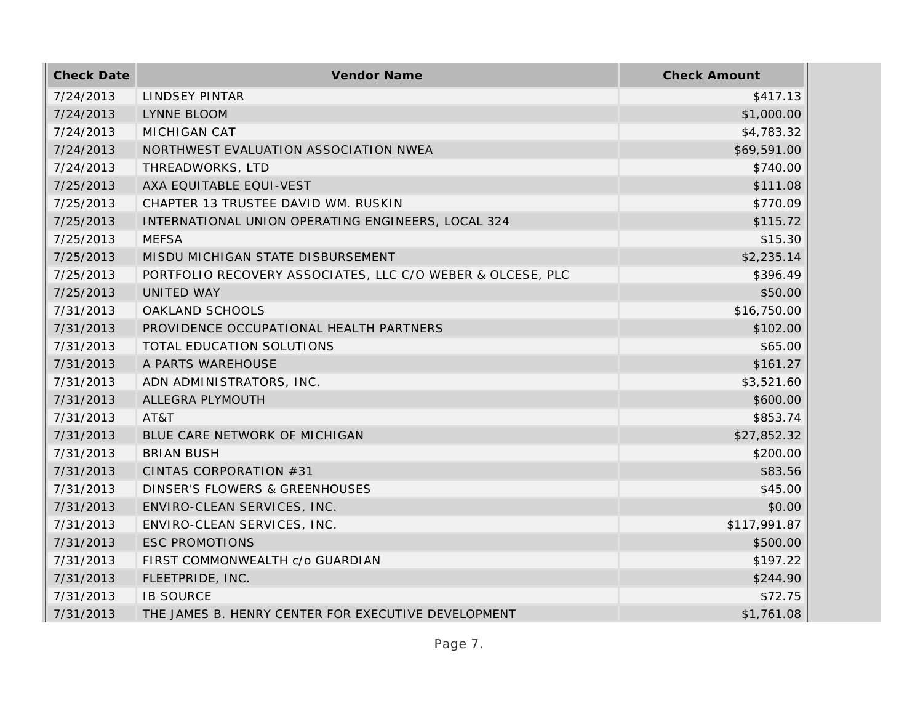| <b>Check Date</b> | <b>Vendor Name</b>                                         | <b>Check Amount</b> |
|-------------------|------------------------------------------------------------|---------------------|
| 7/24/2013         | LINDSEY PINTAR                                             | \$417.13            |
| 7/24/2013         | <b>LYNNE BLOOM</b>                                         | \$1,000.00          |
| 7/24/2013         | <b>MICHIGAN CAT</b>                                        | \$4,783.32          |
| 7/24/2013         | NORTHWEST EVALUATION ASSOCIATION NWEA                      | \$69,591.00         |
| 7/24/2013         | THREADWORKS, LTD                                           | \$740.00            |
| 7/25/2013         | AXA EQUITABLE EQUI-VEST                                    | \$111.08            |
| 7/25/2013         | CHAPTER 13 TRUSTEE DAVID WM. RUSKIN                        | \$770.09            |
| 7/25/2013         | INTERNATIONAL UNION OPERATING ENGINEERS, LOCAL 324         | \$115.72            |
| 7/25/2013         | <b>MEFSA</b>                                               | \$15.30             |
| 7/25/2013         | MISDU MICHIGAN STATE DISBURSEMENT                          | \$2,235.14          |
| 7/25/2013         | PORTFOLIO RECOVERY ASSOCIATES, LLC C/O WEBER & OLCESE, PLC | \$396.49            |
| 7/25/2013         | UNITED WAY                                                 | \$50.00             |
| 7/31/2013         | OAKLAND SCHOOLS                                            | \$16,750.00         |
| 7/31/2013         | PROVIDENCE OCCUPATIONAL HEALTH PARTNERS                    | \$102.00            |
| 7/31/2013         | TOTAL EDUCATION SOLUTIONS                                  | \$65.00             |
| 7/31/2013         | A PARTS WAREHOUSE                                          | \$161.27            |
| 7/31/2013         | ADN ADMINISTRATORS, INC.                                   | \$3,521.60          |
| 7/31/2013         | ALLEGRA PLYMOUTH                                           | \$600.00            |
| 7/31/2013         | AT&T                                                       | \$853.74            |
| 7/31/2013         | BLUE CARE NETWORK OF MICHIGAN                              | \$27,852.32         |
| 7/31/2013         | <b>BRIAN BUSH</b>                                          | \$200.00            |
| 7/31/2013         | CINTAS CORPORATION #31                                     | \$83.56             |
| 7/31/2013         | DINSER'S FLOWERS & GREENHOUSES                             | \$45.00             |
| 7/31/2013         | ENVIRO-CLEAN SERVICES, INC.                                | \$0.00              |
| 7/31/2013         | ENVIRO-CLEAN SERVICES, INC.                                | \$117,991.87        |
| 7/31/2013         | <b>ESC PROMOTIONS</b>                                      | \$500.00            |
| 7/31/2013         | FIRST COMMONWEALTH c/o GUARDIAN                            | \$197.22            |
| 7/31/2013         | FLEETPRIDE, INC.                                           | \$244.90            |
| 7/31/2013         | <b>IB SOURCE</b>                                           | \$72.75             |
| 7/31/2013         | THE JAMES B. HENRY CENTER FOR EXECUTIVE DEVELOPMENT        | \$1,761.08          |